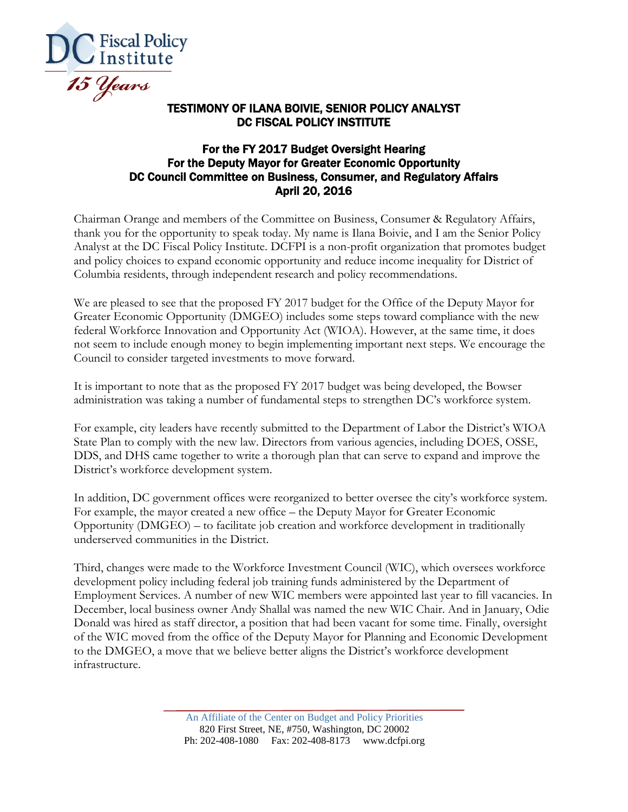

## TESTIMONY OF ILANA BOIVIE, SENIOR POLICY ANALYST DC FISCAL POLICY INSTITUTE

## For the FY 2017 Budget Oversight Hearing For the Deputy Mayor for Greater Economic Opportunity DC Council Committee on Business, Consumer, and Regulatory Affairs April 20, 2016

Chairman Orange and members of the Committee on Business, Consumer & Regulatory Affairs, thank you for the opportunity to speak today. My name is Ilana Boivie, and I am the Senior Policy Analyst at the DC Fiscal Policy Institute. DCFPI is a non-profit organization that promotes budget and policy choices to expand economic opportunity and reduce income inequality for District of Columbia residents, through independent research and policy recommendations.

We are pleased to see that the proposed FY 2017 budget for the Office of the Deputy Mayor for Greater Economic Opportunity (DMGEO) includes some steps toward compliance with the new federal Workforce Innovation and Opportunity Act (WIOA). However, at the same time, it does not seem to include enough money to begin implementing important next steps. We encourage the Council to consider targeted investments to move forward.

It is important to note that as the proposed FY 2017 budget was being developed, the Bowser administration was taking a number of fundamental steps to strengthen DC's workforce system.

For example, city leaders have recently submitted to the Department of Labor the District's WIOA State Plan to comply with the new law. Directors from various agencies, including DOES, OSSE, DDS, and DHS came together to write a thorough plan that can serve to expand and improve the District's workforce development system.

In addition, DC government offices were reorganized to better oversee the city's workforce system. For example, the mayor created a new office – the Deputy Mayor for Greater Economic Opportunity (DMGEO) – to facilitate job creation and workforce development in traditionally underserved communities in the District.

Third, changes were made to the Workforce Investment Council (WIC), which oversees workforce development policy including federal job training funds administered by the Department of Employment Services. A number of new WIC members were appointed last year to fill vacancies. In December, local business owner Andy Shallal was named the new WIC Chair. And in January, Odie Donald was hired as staff director, a position that had been vacant for some time. Finally, oversight of the WIC moved from the office of the Deputy Mayor for Planning and Economic Development to the DMGEO, a move that we believe better aligns the District's workforce development infrastructure.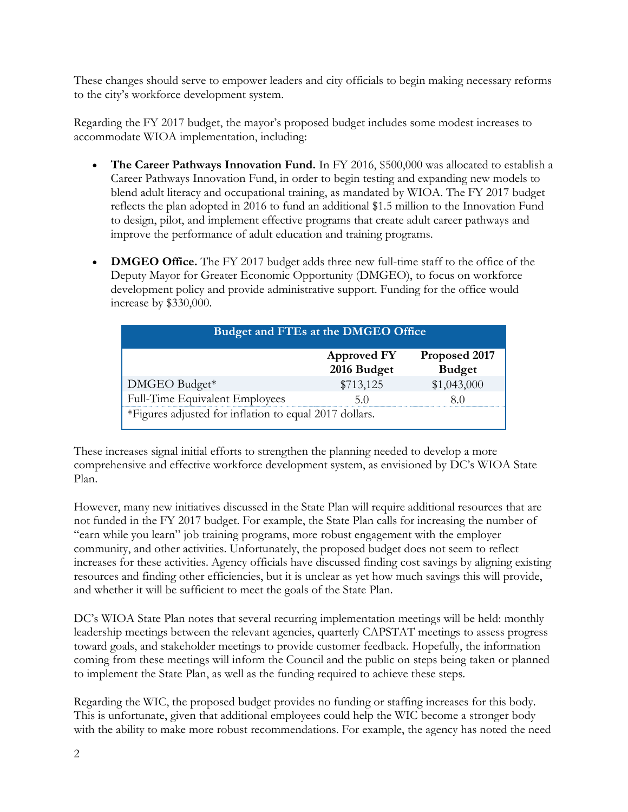These changes should serve to empower leaders and city officials to begin making necessary reforms to the city's workforce development system.

Regarding the FY 2017 budget, the mayor's proposed budget includes some modest increases to accommodate WIOA implementation, including:

- The Career Pathways Innovation Fund. In FY 2016, \$500,000 was allocated to establish a Career Pathways Innovation Fund, in order to begin testing and expanding new models to blend adult literacy and occupational training, as mandated by WIOA. The FY 2017 budget reflects the plan adopted in 2016 to fund an additional \$1.5 million to the Innovation Fund to design, pilot, and implement effective programs that create adult career pathways and improve the performance of adult education and training programs.
- **DMGEO Office.** The FY 2017 budget adds three new full-time staff to the office of the Deputy Mayor for Greater Economic Opportunity (DMGEO), to focus on workforce development policy and provide administrative support. Funding for the office would increase by \$330,000.

| Budget and FTEs at the DMGEO Office                    |                                   |                                |
|--------------------------------------------------------|-----------------------------------|--------------------------------|
|                                                        | <b>Approved FY</b><br>2016 Budget | Proposed 2017<br><b>Budget</b> |
| DMGEO Budget*                                          | \$713,125                         | \$1,043,000                    |
| Full-Time Equivalent Employees                         | 5()                               | 80                             |
| *Figures adjusted for inflation to equal 2017 dollars. |                                   |                                |

These increases signal initial efforts to strengthen the planning needed to develop a more comprehensive and effective workforce development system, as envisioned by DC's WIOA State Plan.

However, many new initiatives discussed in the State Plan will require additional resources that are not funded in the FY 2017 budget. For example, the State Plan calls for increasing the number of "earn while you learn" job training programs, more robust engagement with the employer community, and other activities. Unfortunately, the proposed budget does not seem to reflect increases for these activities. Agency officials have discussed finding cost savings by aligning existing resources and finding other efficiencies, but it is unclear as yet how much savings this will provide, and whether it will be sufficient to meet the goals of the State Plan.

DC's WIOA State Plan notes that several recurring implementation meetings will be held: monthly leadership meetings between the relevant agencies, quarterly CAPSTAT meetings to assess progress toward goals, and stakeholder meetings to provide customer feedback. Hopefully, the information coming from these meetings will inform the Council and the public on steps being taken or planned to implement the State Plan, as well as the funding required to achieve these steps.

Regarding the WIC, the proposed budget provides no funding or staffing increases for this body. This is unfortunate, given that additional employees could help the WIC become a stronger body with the ability to make more robust recommendations. For example, the agency has noted the need